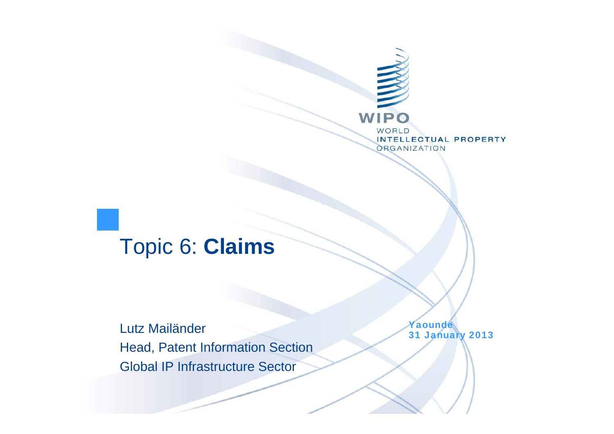

#### Topic 6: **Claims**

Lutz Mailänder Head, Patent Information Section Global IP Infrastructure Sector

Yaounde 31 January 2013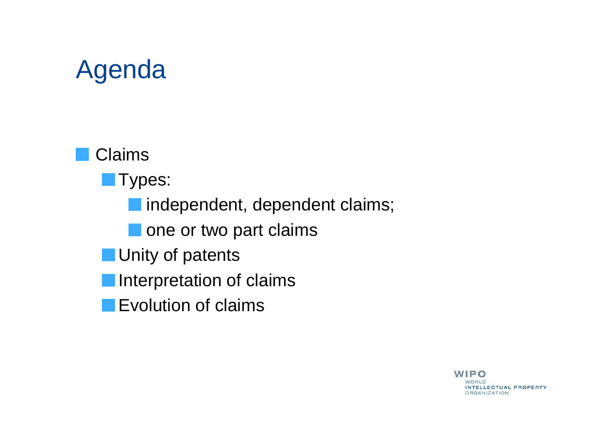# Agenda

Claims

**Types:** 

**n** independent, dependent claims;

One or two part claims

**Unity of patents** 

**Interpretation of claims** 

**Explution of claims** 

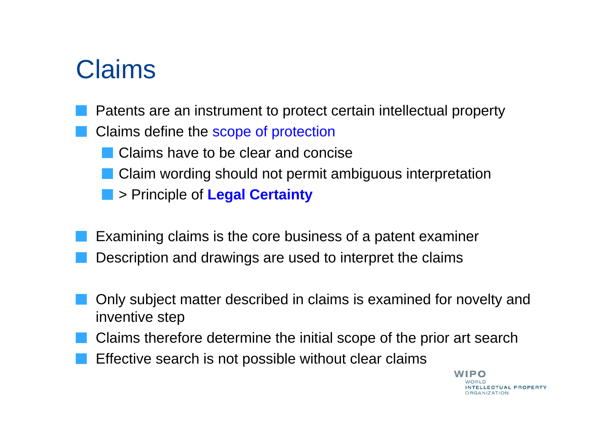### Claims

- Patents are an instrument to protect certain intellectual property
- Claims define the scope of protection
	- Claims have to be clear and concise
	- **Claim wording should not permit ambiguous interpretation**
	- > Principle of **Legal Certainty**
- Examining claims is the core business of a patent examiner Description and drawings are used to interpret the claims
- Only subject matter described in claims is examined for novelty and inventive step
- Claims therefore determine the initial scope of the prior art search
- Effective search is not possible without clear claims

**WIPO** NTELLECTUAL PROPERTY **ORGANIZATION**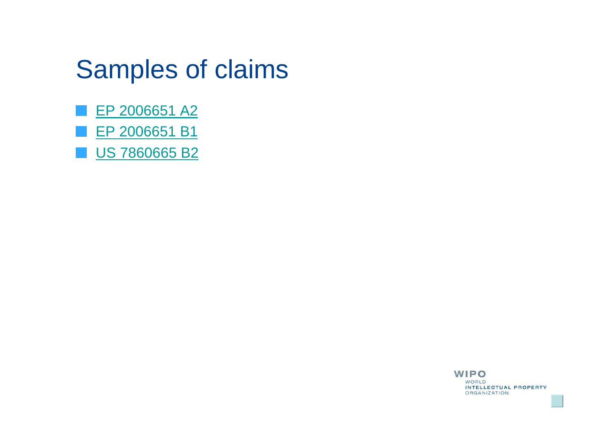### Samples of claims

- EP 2006651 A2
- EP 2006651 B1
- US 7860665 B2

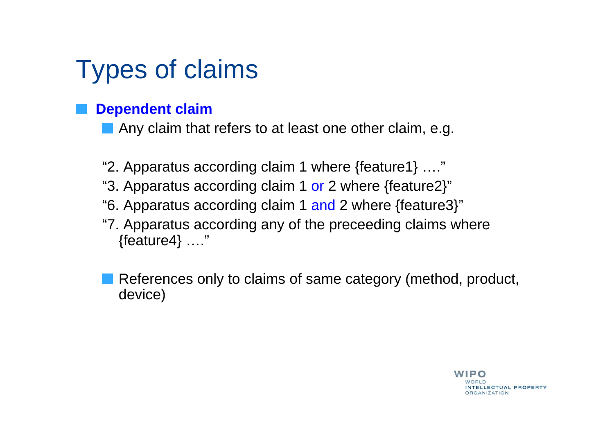# Types of claims

#### **Dependent claim**

Any claim that refers to at least one other claim, e.g.

- "2. Apparatus according claim 1 where {feature1} …."
- "3. Apparatus according claim 1 or 2 where {feature2}"
- "6. Apparatus according claim 1 and 2 where {feature3}"
- "7. Apparatus according any of the preceeding claims where {feature4} …."

References only to claims of same category (method, product, device)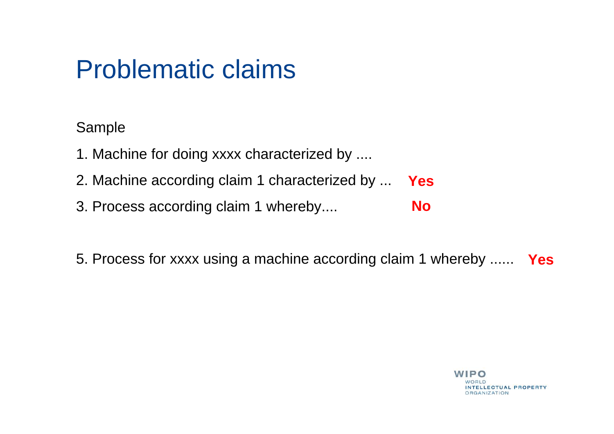### Problematic claims

Sample

- 1. Machine for doing xxxx characterized by ....
- 2. Machine according claim 1 characterized by ... **Yes**
- 3. Process according claim 1 whereby.... **No**

5. Process for xxxx using a machine according claim 1 whereby ...... **Yes**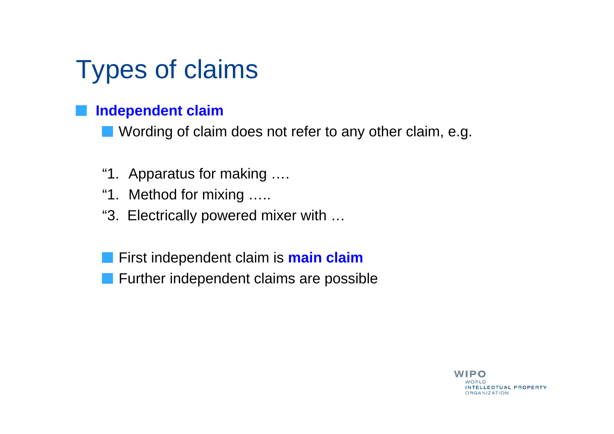# Types of claims

#### **Independent claim**

**Nording of claim does not refer to any other claim, e.g.** 

- "1. Apparatus for making ….
- "1. Method for mixing …..
- "3. Electrically powered mixer with …
- First independent claim is **main claim**
- **Further independent claims are possible**

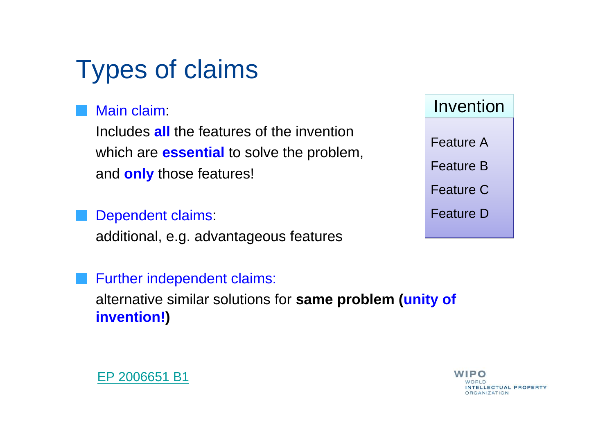# Types of claims

#### Main claim:

Includes **all** the features of the inventionwhich are **essential** to solve the problem, and **only** those features!

#### Dependent claims:

additional, e.g. advantageous features

#### Further independent claims:

alternative similar solutions for **same problem (unity of invention!)**





**WIPO** NTELLECTUAL PROPERTY **ORGANIZATION**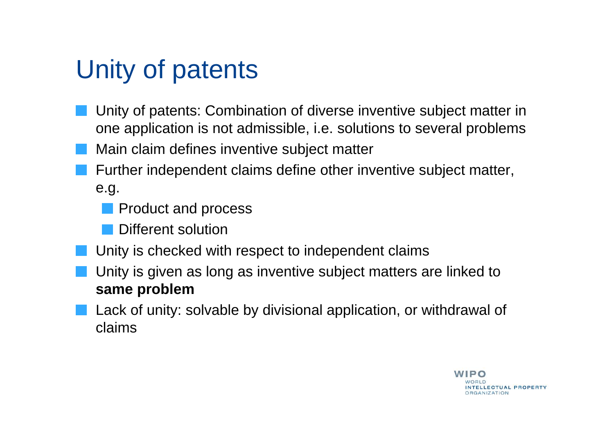# Unity of patents

- Unity of patents: Combination of diverse inventive subject matter in one application is not admissible, i.e. solutions to several problems
- Main claim defines inventive subject matter
- Further independent claims define other inventive subject matter, e.g.
	- **Product and process**
	- **Different solution**
- Unity is checked with respect to independent claims
- Unity is given as long as inventive subject matters are linked to **same problem**
- Lack of unity: solvable by divisional application, or withdrawal of claims

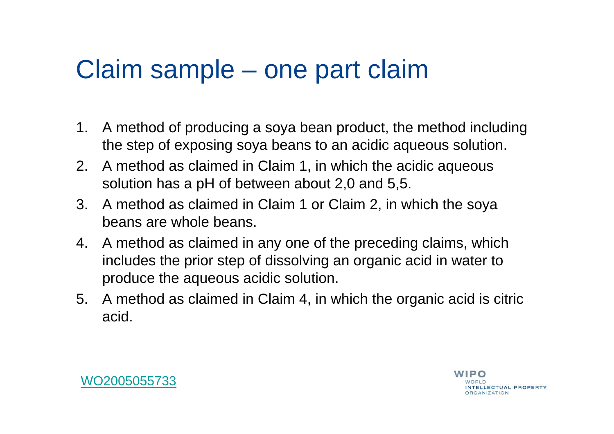### Claim sample – one part claim

- 1. A method of producing a soya bean product, the method including the step of exposing soya beans to an acidic aqueous solution.
- 2. A method as claimed in Claim 1, in which the acidic aqueous solution has a pH of between about 2,0 and 5,5.
- 3. A method as claimed in Claim 1 or Claim 2, in which the soya beans are whole beans.
- 4. A method as claimed in any one of the preceding claims, which includes the prior step of dissolving an organic acid in water to produce the aqueous acidic solution.
- 5. A method as claimed in Claim 4, in which the organic acid is citric acid.

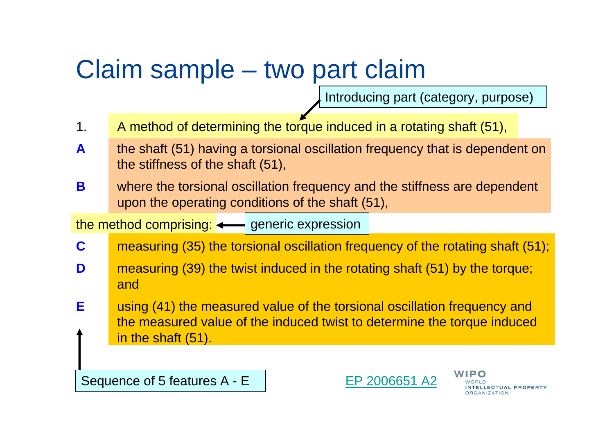### Claim sample – two part claim

Introducing part (category, purpose)

- 1. A method of determining the torque induced in a rotating shaft (51),
- **A** the shaft (51) having a torsional oscillation frequency that is dependent on the stiffness of the shaft (51),
- **B** where the torsional oscillation frequency and the stiffness are dependent upon the operating conditions of the shaft (51),

the method comprising: <——| generic expression

- **C**measuring (35) the torsional oscillation frequency of the rotating shaft (51);
- **D** measuring (39) the twist induced in the rotating shaft (51) by the torque; and
- **E** using (41) the measured value of the torsional oscillation frequency and the measured value of the induced twist to determine the torque induced in the shaft (51).

Sequence of 5 features A - E



LECTUAL PROPERTY **DRGANIZATION**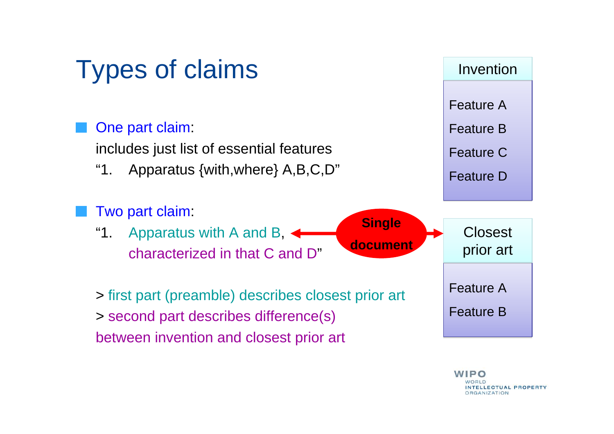

WIPO NTELLECTUAL PROPERTY **ORGANIZATION**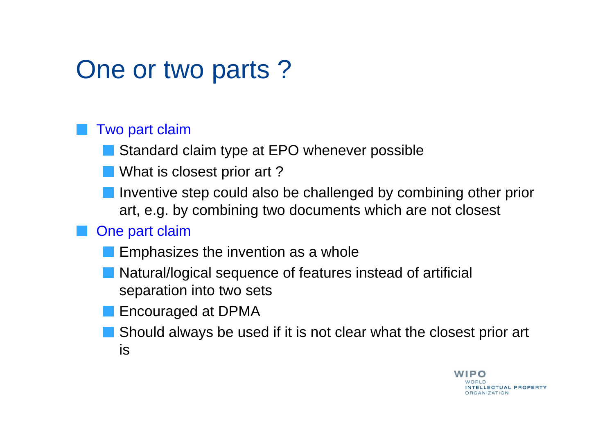# One or two parts ?

#### Two part claim

Standard claim type at EPO whenever possible

- What is closest prior art ?
- Inventive step could also be challenged by combining other prior art, e.g. by combining two documents which are not closest

#### One part claim

- Emphasizes the invention as a whole
- Natural/logical sequence of features instead of artificial separation into two sets
- Encouraged at DPMA
- Should always be used if it is not clear what the closest prior art is

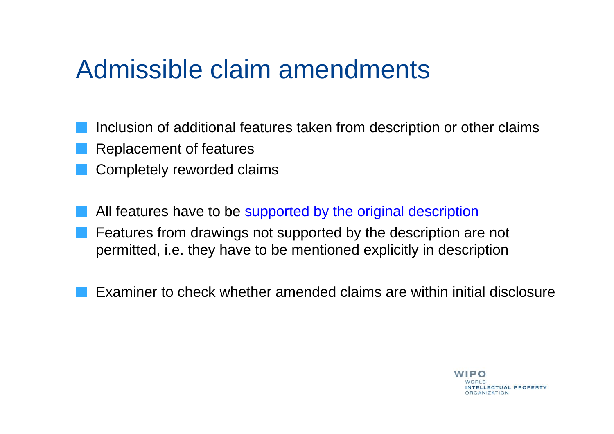### Admissible claim amendments

- Inclusion of additional features taken from description or other claims
- Replacement of features
- Completely reworded claims
- All features have to be supported by the original description Features from drawings not supported by the description are not permitted, i.e. they have to be mentioned explicitly in description
	- Examiner to check whether amended claims are within initial disclosure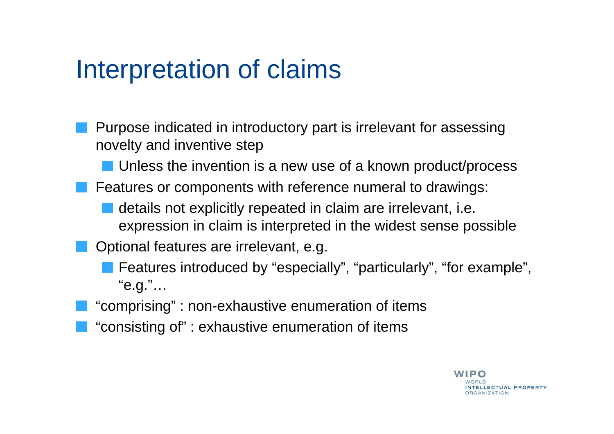### Interpretation of claims

- Purpose indicated in introductory part is irrelevant for assessing novelty and inventive step
	- **Unless the invention is a new use of a known product/process**
- Features or components with reference numeral to drawings:
	- details not explicitly repeated in claim are irrelevant, i.e. expression in claim is interpreted in the widest sense possible
- Optional features are irrelevant, e.g.
	- Features introduced by "especially", "particularly", "for example", "e.g."…
- "comprising" : non-exhaustive enumeration of items
- "consisting of" : exhaustive enumeration of items

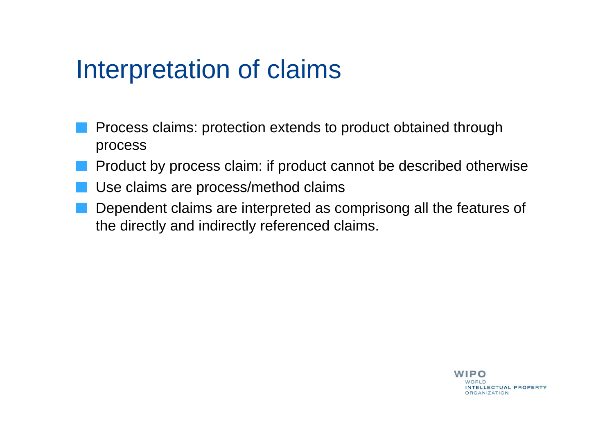### Interpretation of claims

- Process claims: protection extends to product obtained through process
- Product by process claim: if product cannot be described otherwise
- Use claims are process/method claims
- Dependent claims are interpreted as comprisong all the features of the directly and indirectly referenced claims.

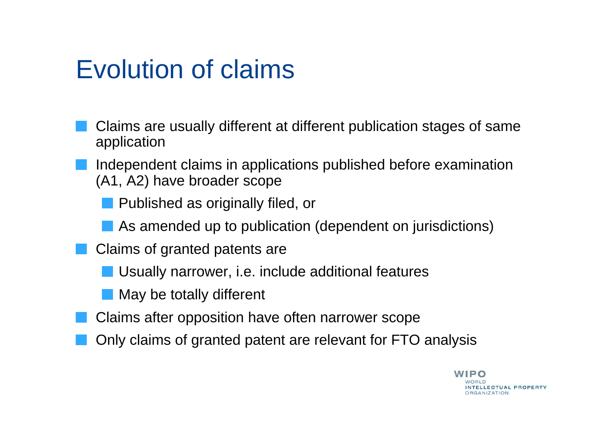### Evolution of claims

- Claims are usually different at different publication stages of same application
- Independent claims in applications published before examination (A1, A2) have broader scope
	- Published as originally filed, or
	- As amended up to publication (dependent on jurisdictions)
- Claims of granted patents are
	- Usually narrower, i.e. include additional features
	- May be totally different
- Claims after opposition have often narrower scope
- Only claims of granted patent are relevant for FTO analysis